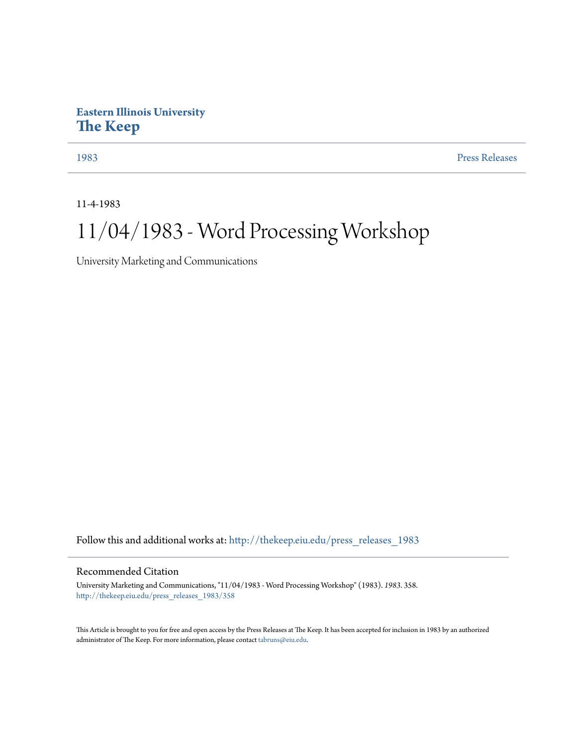## **Eastern Illinois University [The Keep](http://thekeep.eiu.edu?utm_source=thekeep.eiu.edu%2Fpress_releases_1983%2F358&utm_medium=PDF&utm_campaign=PDFCoverPages)**

[1983](http://thekeep.eiu.edu/press_releases_1983?utm_source=thekeep.eiu.edu%2Fpress_releases_1983%2F358&utm_medium=PDF&utm_campaign=PDFCoverPages) [Press Releases](http://thekeep.eiu.edu/press_releases_collection?utm_source=thekeep.eiu.edu%2Fpress_releases_1983%2F358&utm_medium=PDF&utm_campaign=PDFCoverPages)

11-4-1983

## 11/04/1983 - Word Processing Workshop

University Marketing and Communications

Follow this and additional works at: [http://thekeep.eiu.edu/press\\_releases\\_1983](http://thekeep.eiu.edu/press_releases_1983?utm_source=thekeep.eiu.edu%2Fpress_releases_1983%2F358&utm_medium=PDF&utm_campaign=PDFCoverPages)

## Recommended Citation

University Marketing and Communications, "11/04/1983 - Word Processing Workshop" (1983). *1983*. 358. [http://thekeep.eiu.edu/press\\_releases\\_1983/358](http://thekeep.eiu.edu/press_releases_1983/358?utm_source=thekeep.eiu.edu%2Fpress_releases_1983%2F358&utm_medium=PDF&utm_campaign=PDFCoverPages)

This Article is brought to you for free and open access by the Press Releases at The Keep. It has been accepted for inclusion in 1983 by an authorized administrator of The Keep. For more information, please contact [tabruns@eiu.edu.](mailto:tabruns@eiu.edu)